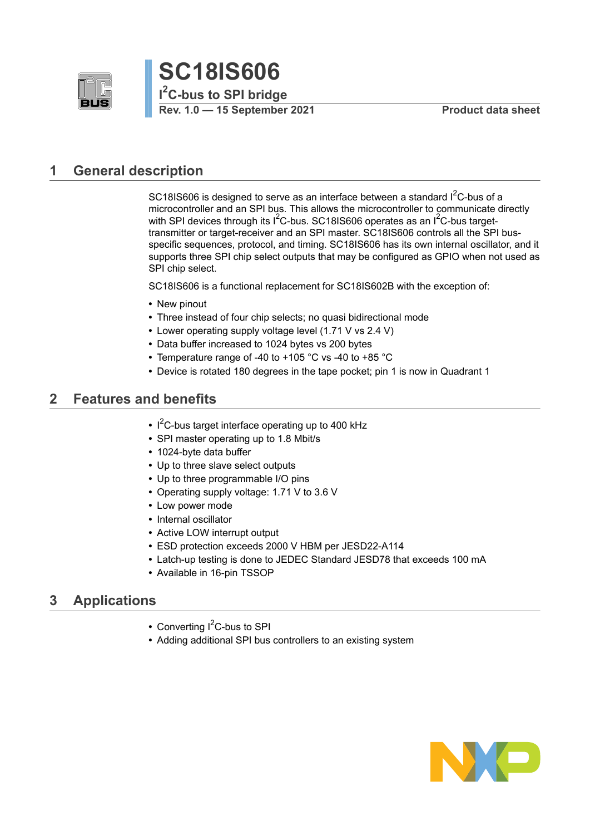



## <span id="page-0-0"></span>**1 General description**

SC18IS606 is designed to serve as an interface between a standard  $I^2C$ -bus of a microcontroller and an SPI bus. This allows the microcontroller to communicate directly with SPI devices through its  $1<sup>2</sup>C-bus$ . SC18IS606 operates as an  $1<sup>2</sup>C-bus$  targettransmitter or target-receiver and an SPI master. SC18IS606 controls all the SPI busspecific sequences, protocol, and timing. SC18IS606 has its own internal oscillator, and it supports three SPI chip select outputs that may be configured as GPIO when not used as SPI chip select.

SC18IS606 is a functional replacement for SC18IS602B with the exception of:

- **•** New pinout
- **•** Three instead of four chip selects; no quasi bidirectional mode
- **•** Lower operating supply voltage level (1.71 V vs 2.4 V)
- **•** Data buffer increased to 1024 bytes vs 200 bytes
- **•** Temperature range of -40 to +105 °C vs -40 to +85 °C
- **•** Device is rotated 180 degrees in the tape pocket; pin 1 is now in Quadrant 1

## <span id="page-0-1"></span>**2 Features and benefits**

- **•** I <sup>2</sup>C-bus target interface operating up to 400 kHz
- **•** SPI master operating up to 1.8 Mbit/s
- **•** 1024-byte data buffer
- **•** Up to three slave select outputs
- **•** Up to three programmable I/O pins
- **•** Operating supply voltage: 1.71 V to 3.6 V
- **•** Low power mode
- **•** Internal oscillator
- **•** Active LOW interrupt output
- **•** ESD protection exceeds 2000 V HBM per JESD22-A114
- **•** Latch-up testing is done to JEDEC Standard JESD78 that exceeds 100 mA
- **•** Available in 16-pin TSSOP

## <span id="page-0-2"></span>**3 Applications**

- Converting I<sup>2</sup>C-bus to SPI
- **•** Adding additional SPI bus controllers to an existing system

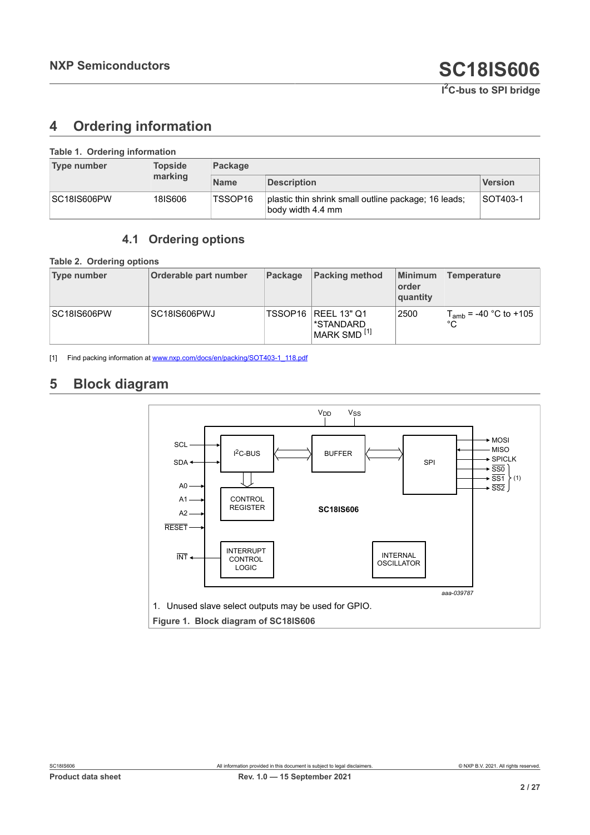## <span id="page-1-4"></span><span id="page-1-0"></span>**4 Ordering information**

| Table 1. Ordering information |                |             |                                                                           |                |  |  |  |  |  |  |  |
|-------------------------------|----------------|-------------|---------------------------------------------------------------------------|----------------|--|--|--|--|--|--|--|
| <b>Type number</b>            | <b>Topside</b> | Package     |                                                                           |                |  |  |  |  |  |  |  |
|                               | marking        | <b>Name</b> | <b>Description</b>                                                        | <b>Version</b> |  |  |  |  |  |  |  |
| <b>SC18IS606PW</b>            | 18IS606        | TSSOP16     | plastic thin shrink small outline package; 16 leads;<br>body width 4.4 mm | SOT403-1       |  |  |  |  |  |  |  |

## <span id="page-1-5"></span><span id="page-1-2"></span><span id="page-1-1"></span>**4.1 Ordering options**

**Table 2. Ordering options**

| Type number | Orderable part number | Package | <b>Packing method</b>                                      | Minimum<br>order<br>quantity | <b>Temperature</b>               |
|-------------|-----------------------|---------|------------------------------------------------------------|------------------------------|----------------------------------|
| SC18IS606PW | SC18IS606PWJ          | TSSOP16 | <b>REEL 13" Q1</b><br>*STANDARD<br>MARK SMD <sup>[1]</sup> | 2500                         | $T_{amb}$ = -40 °C to +105<br>°С |

[1] Find packing information at [www.nxp.com/docs/en/packing/SOT403-1\\_118.pdf](http://www.nxp.com/docs/en/packing/SOT403-1_118.pdf)

## <span id="page-1-6"></span>**5 Block diagram**

<span id="page-1-3"></span>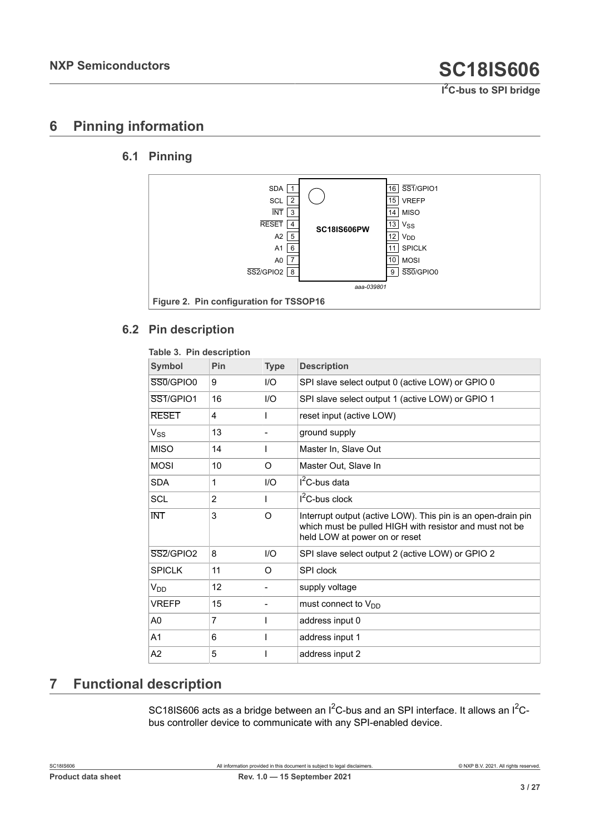## <span id="page-2-2"></span>**6 Pinning information**

### **6.1 Pinning**

<span id="page-2-3"></span><span id="page-2-1"></span>

### **6.2 Pin description**

<span id="page-2-4"></span><span id="page-2-0"></span>

| Table 3. Pin description           |                |             |                                                                                                                                                          |
|------------------------------------|----------------|-------------|----------------------------------------------------------------------------------------------------------------------------------------------------------|
| <b>Symbol</b>                      | Pin            | <b>Type</b> | <b>Description</b>                                                                                                                                       |
| SS0/GPIO0                          | 9              | I/O         | SPI slave select output 0 (active LOW) or GPIO 0                                                                                                         |
| SS1/GPIO1                          | 16             | 1/O         | SPI slave select output 1 (active LOW) or GPIO 1                                                                                                         |
| <b>RESET</b>                       | 4              |             | reset input (active LOW)                                                                                                                                 |
| $V_{SS}$                           | 13             |             | ground supply                                                                                                                                            |
| <b>MISO</b>                        | 14             |             | Master In, Slave Out                                                                                                                                     |
| <b>MOSI</b>                        | 10             | O           | Master Out. Slave In                                                                                                                                     |
| <b>SDA</b>                         | 1              | I/O         | $I2C$ -bus data                                                                                                                                          |
| SCL                                | $\overline{2}$ |             | $I^2C$ -bus clock                                                                                                                                        |
| <b>INT</b>                         | 3              | O           | Interrupt output (active LOW). This pin is an open-drain pin<br>which must be pulled HIGH with resistor and must not be<br>held LOW at power on or reset |
| SS <sub>2</sub> /GPIO <sub>2</sub> | 8              | I/O         | SPI slave select output 2 (active LOW) or GPIO 2                                                                                                         |
| <b>SPICI K</b>                     | 11             | $\Omega$    | SPI clock                                                                                                                                                |
| V <sub>DD</sub>                    | 12             |             | supply voltage                                                                                                                                           |
| <b>VREFP</b>                       | 15             |             | must connect to $V_{DD}$                                                                                                                                 |
| A <sub>0</sub>                     | 7              |             | address input 0                                                                                                                                          |
| A1                                 | 6              |             | address input 1                                                                                                                                          |
| A2                                 | 5              |             | address input 2                                                                                                                                          |

## <span id="page-2-5"></span>**7 Functional description**

SC18IS606 acts as a bridge between an  $I^2C$ -bus and an SPI interface. It allows an  $I^2C$ bus controller device to communicate with any SPI-enabled device.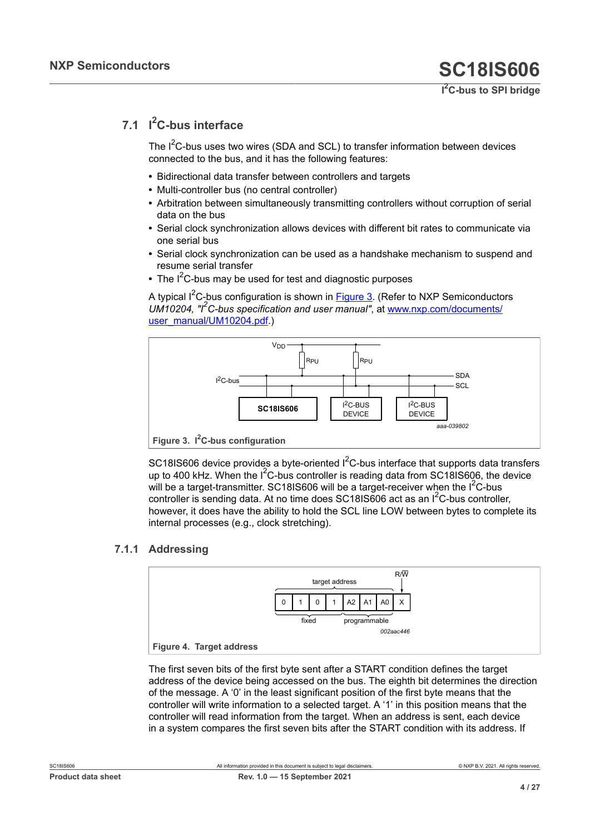## **7.1 I <sup>2</sup>C-bus interface**

<span id="page-3-2"></span>The  $I^2C$ -bus uses two wires (SDA and SCL) to transfer information between devices connected to the bus, and it has the following features:

- **•** Bidirectional data transfer between controllers and targets
- **•** Multi-controller bus (no central controller)
- **•** Arbitration between simultaneously transmitting controllers without corruption of serial data on the bus
- **•** Serial clock synchronization allows devices with different bit rates to communicate via one serial bus
- **•** Serial clock synchronization can be used as a handshake mechanism to suspend and resume serial transfer
- The I<sup>2</sup>C-bus may be used for test and diagnostic purposes

A typical  $I^2C$ -bus configuration is shown in [Figure 3.](#page-3-0) (Refer to NXP Semiconductors *UM10204, "I2C-bus specification and user manual"*, at [www.nxp.com/documents/](http://www.nxp.com/documents/user_manual/UM10204.pdf) [user\\_manual/UM10204.pdf.](http://www.nxp.com/documents/user_manual/UM10204.pdf))

<span id="page-3-0"></span>

**Figure 3. I2C-bus configuration**

SC18IS606 device provides a byte-oriented  $I^2C$ -bus interface that supports data transfers up to 400 kHz. When the  $1^2C$ -bus controller is reading data from SC18IS606, the device will be a target-transmitter. SC18IS606 will be a target-receiver when the I<sup>2</sup>C-bus controller is sending data. At no time does  $SC181S606$  act as an  $I^2C$ -bus controller, however, it does have the ability to hold the SCL line LOW between bytes to complete its internal processes (e.g., clock stretching).

### **7.1.1 Addressing**

<span id="page-3-3"></span><span id="page-3-1"></span>

The first seven bits of the first byte sent after a START condition defines the target address of the device being accessed on the bus. The eighth bit determines the direction of the message. A '0' in the least significant position of the first byte means that the controller will write information to a selected target. A '1' in this position means that the controller will read information from the target. When an address is sent, each device in a system compares the first seven bits after the START condition with its address. If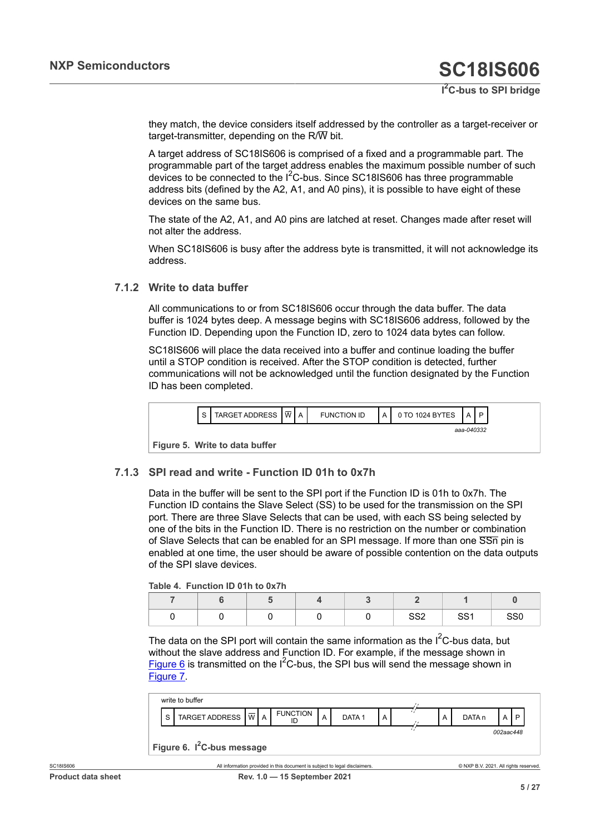they match, the device considers itself addressed by the controller as a target-receiver or target-transmitter, depending on the  $R/\overline{W}$  bit.

A target address of SC18IS606 is comprised of a fixed and a programmable part. The programmable part of the target address enables the maximum possible number of such devices to be connected to the  $1^2$ C-bus. Since SC18IS606 has three programmable address bits (defined by the A2, A1, and A0 pins), it is possible to have eight of these devices on the same bus.

The state of the A2, A1, and A0 pins are latched at reset. Changes made after reset will not alter the address.

When SC18IS606 is busy after the address byte is transmitted, it will not acknowledge its address.

#### **7.1.2 Write to data buffer**

<span id="page-4-3"></span>All communications to or from SC18IS606 occur through the data buffer. The data buffer is 1024 bytes deep. A message begins with SC18IS606 address, followed by the Function ID. Depending upon the Function ID, zero to 1024 data bytes can follow.

SC18IS606 will place the data received into a buffer and continue loading the buffer until a STOP condition is received. After the STOP condition is detected, further communications will not be acknowledged until the function designated by the Function ID has been completed.

<span id="page-4-2"></span>

<span id="page-4-4"></span>**Figure 5. Write to data buffer**

#### **7.1.3 SPI read and write - Function ID 01h to 0x7h**

Data in the buffer will be sent to the SPI port if the Function ID is 01h to 0x7h. The Function ID contains the Slave Select (SS) to be used for the transmission on the SPI port. There are three Slave Selects that can be used, with each SS being selected by one of the bits in the Function ID. There is no restriction on the number or combination of Slave Selects that can be enabled for an SPI message. If more than one SSn pin is enabled at one time, the user should be aware of possible contention on the data outputs of the SPI slave devices.

<span id="page-4-1"></span>**Table 4. Function ID 01h to 0x7h**

|  |  | CCO<br>ےت⊙ | CCA<br>ິບບາ | SS <sub>0</sub> |
|--|--|------------|-------------|-----------------|

The data on the SPI port will contain the same information as the  $I^2C$ -bus data, but without the slave address and Function ID. For example, if the message shown in [Figure 6](#page-4-0) is transmitted on the  $I^2C$ -bus, the SPI bus will send the message shown in [Figure 7.](#page-5-0)

<span id="page-4-0"></span>

|                                        | write to buffer                   |  |  |                 |                |                   |   |  |   |        |           |  |  |
|----------------------------------------|-----------------------------------|--|--|-----------------|----------------|-------------------|---|--|---|--------|-----------|--|--|
| S                                      | TARGET ADDRESS $ \overline{w} $ A |  |  | <b>FUNCTION</b> | $\overline{A}$ | DATA <sub>1</sub> | A |  | A | DATA n | A         |  |  |
|                                        |                                   |  |  |                 |                |                   |   |  |   |        | 002aac448 |  |  |
| Figure 6. I <sup>2</sup> C-bus message |                                   |  |  |                 |                |                   |   |  |   |        |           |  |  |
|                                        |                                   |  |  |                 |                |                   |   |  |   |        |           |  |  |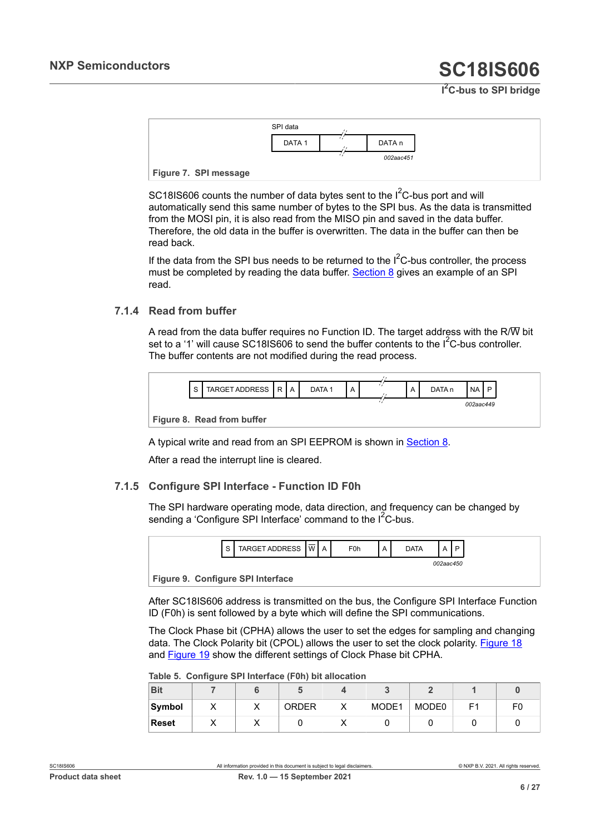<span id="page-5-0"></span>

SC18IS606 counts the number of data bytes sent to the  $I^2C$ -bus port and will automatically send this same number of bytes to the SPI bus. As the data is transmitted from the MOSI pin, it is also read from the MISO pin and saved in the data buffer. Therefore, the old data in the buffer is overwritten. The data in the buffer can then be read back.

If the data from the SPI bus needs to be returned to the  $I^2C$ -bus controller, the process must be completed by reading the data buffer. [Section 8](#page-10-0) gives an example of an SPI read.

#### **7.1.4 Read from buffer**

<span id="page-5-4"></span>A read from the data buffer requires no Function ID. The target address with the R/W bit set to a '1' will cause SC18IS606 to send the buffer contents to the I<sup>2</sup>C-bus controller. The buffer contents are not modified during the read process.

<span id="page-5-2"></span>

| S | TARGET ADDRESS   R   A     |  |  | DATA <sub>1</sub> |  |  |  | A | DATA <sub>n</sub> | <b>NA</b> | D |
|---|----------------------------|--|--|-------------------|--|--|--|---|-------------------|-----------|---|
|   |                            |  |  |                   |  |  |  |   |                   | 002aac449 |   |
|   | Figure 8. Read from buffer |  |  |                   |  |  |  |   |                   |           |   |

A typical write and read from an SPI EEPROM is shown in [Section 8](#page-10-0).

<span id="page-5-5"></span>After a read the interrupt line is cleared.

#### **7.1.5 Configure SPI Interface - Function ID F0h**

The SPI hardware operating mode, data direction, and frequency can be changed by sending a 'Configure SPI Interface' command to the  $I^2C$ -bus.

<span id="page-5-3"></span>

**Figure 9. Configure SPI Interface**

After SC18IS606 address is transmitted on the bus, the Configure SPI Interface Function ID (F0h) is sent followed by a byte which will define the SPI communications.

The Clock Phase bit (CPHA) allows the user to set the edges for sampling and changing data. The Clock Polarity bit (CPOL) allows the user to set the clock polarity. [Figure 18](#page-13-0) and [Figure 19](#page-14-0) show the different settings of Clock Phase bit CPHA.

<span id="page-5-1"></span>**Table 5. Configure SPI Interface (F0h) bit allocation**

|              | - |    |              |       |       |                |    |
|--------------|---|----|--------------|-------|-------|----------------|----|
| <b>Bit</b>   |   |    |              |       |       |                |    |
| Symbol       |   | 71 | <b>ORDER</b> | MODE1 | MODE0 | E <sub>1</sub> | FC |
| <b>Reset</b> |   |    |              |       |       |                |    |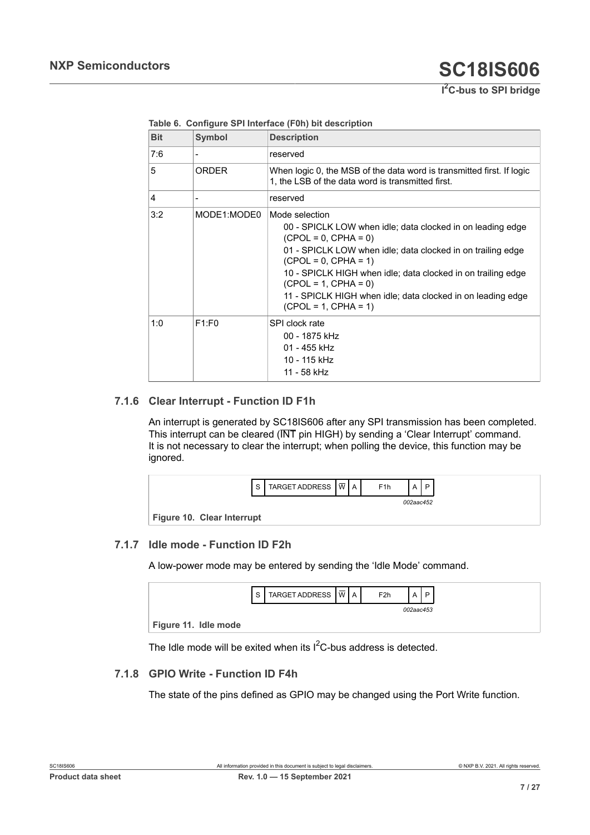| <b>Bit</b> | <b>Symbol</b> | <b>Description</b>                                                                                                                                                                                                                                                                                                                                                                 |
|------------|---------------|------------------------------------------------------------------------------------------------------------------------------------------------------------------------------------------------------------------------------------------------------------------------------------------------------------------------------------------------------------------------------------|
| 7:6        |               | reserved                                                                                                                                                                                                                                                                                                                                                                           |
| 5          | <b>ORDER</b>  | When logic 0, the MSB of the data word is transmitted first. If logic<br>1, the LSB of the data word is transmitted first.                                                                                                                                                                                                                                                         |
| 4          |               | reserved                                                                                                                                                                                                                                                                                                                                                                           |
| 3:2        | MODE1:MODE0   | Mode selection<br>00 - SPICLK LOW when idle; data clocked in on leading edge<br>$(CPOL = 0, CPHA = 0)$<br>01 - SPICLK LOW when idle; data clocked in on trailing edge<br>$(CPOL = 0, CPHA = 1)$<br>10 - SPICLK HIGH when idle; data clocked in on trailing edge<br>$(CPOL = 1, CPHA = 0)$<br>11 - SPICLK HIGH when idle; data clocked in on leading edge<br>$(CPOL = 1, CPHA = 1)$ |
| 1:0        | F1:FO         | SPI clock rate<br>00 - 1875 kHz<br>01 - 455 kHz<br>10 - 115 kHz<br>11 - 58 kHz                                                                                                                                                                                                                                                                                                     |

#### <span id="page-6-0"></span>**Table 6. Configure SPI Interface (F0h) bit description**

#### **7.1.6 Clear Interrupt - Function ID F1h**

<span id="page-6-3"></span>An interrupt is generated by SC18IS606 after any SPI transmission has been completed. This interrupt can be cleared (INT pin HIGH) by sending a 'Clear Interrupt' command. It is not necessary to clear the interrupt; when polling the device, this function may be ignored.

<span id="page-6-1"></span>

#### **7.1.7 Idle mode - Function ID F2h**

<span id="page-6-4"></span>A low-power mode may be entered by sending the 'Idle Mode' command.

<span id="page-6-2"></span>

|                      | c | TARGET ADDRESS I W | $\Delta$ | F <sub>2</sub> h |           | D |
|----------------------|---|--------------------|----------|------------------|-----------|---|
|                      |   |                    |          |                  | 002aac453 |   |
| Figure 11. Idle mode |   |                    |          |                  |           |   |

<span id="page-6-5"></span>The Idle mode will be exited when its  $I^2C$ -bus address is detected.

#### **7.1.8 GPIO Write - Function ID F4h**

The state of the pins defined as GPIO may be changed using the Port Write function.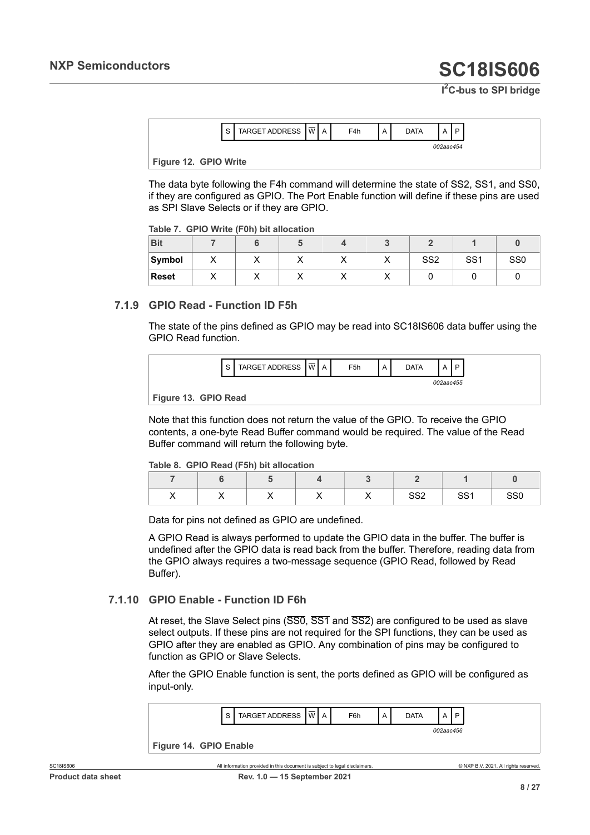**I <sup>2</sup>C-bus to SPI bridge**

| $\sqrt{2}$<br>╰ | 池<br>_ | M<br>. . | Δ<br>$\cdots$ | F4h | A | )ata |           | D |
|-----------------|--------|----------|---------------|-----|---|------|-----------|---|
|                 |        |          |               |     |   |      | 002aac454 |   |

#### <span id="page-7-2"></span>**Figure 12. GPIO Write**

The data byte following the F4h command will determine the state of SS2, SS1, and SS0, if they are configured as GPIO. The Port Enable function will define if these pins are used as SPI Slave Selects or if they are GPIO.

<span id="page-7-0"></span>

| <b>Bit</b>   |           |  |  |                 |                 |                 |
|--------------|-----------|--|--|-----------------|-----------------|-----------------|
| Symbol       | $\lambda$ |  |  | SS <sub>2</sub> | SS <sub>1</sub> | SS <sub>0</sub> |
| <b>Reset</b> |           |  |  |                 |                 |                 |

#### **7.1.9 GPIO Read - Function ID F5h**

<span id="page-7-5"></span>The state of the pins defined as GPIO may be read into SC18IS606 data buffer using the GPIO Read function.

<span id="page-7-3"></span>

|                      | $\epsilon$ | TARGET ADDRESS $ \overline{w} $ A |  | F <sub>5</sub> h | <b>DATA</b> |           |
|----------------------|------------|-----------------------------------|--|------------------|-------------|-----------|
|                      |            |                                   |  |                  |             | 002aac455 |
| Figure 13. GPIO Read |            |                                   |  |                  |             |           |

Note that this function does not return the value of the GPIO. To receive the GPIO contents, a one-byte Read Buffer command would be required. The value of the Read Buffer command will return the following byte.

#### <span id="page-7-1"></span>**Table 8. GPIO Read (F5h) bit allocation**

| $\cdot$ | $\cdot$ | . . | $\cdot$ | 000<br>$\sim$ | cc.<br><u>، ن</u> | SS <sub>0</sub> |
|---------|---------|-----|---------|---------------|-------------------|-----------------|

Data for pins not defined as GPIO are undefined.

A GPIO Read is always performed to update the GPIO data in the buffer. The buffer is undefined after the GPIO data is read back from the buffer. Therefore, reading data from the GPIO always requires a two-message sequence (GPIO Read, followed by Read Buffer).

#### **7.1.10 GPIO Enable - Function ID F6h**

<span id="page-7-6"></span>At reset, the Slave Select pins (SS0, SS1 and SS2) are configured to be used as slave select outputs. If these pins are not required for the SPI functions, they can be used as GPIO after they are enabled as GPIO. Any combination of pins may be configured to function as GPIO or Slave Selects.

<span id="page-7-4"></span>After the GPIO Enable function is sent, the ports defined as GPIO will be configured as input-only.

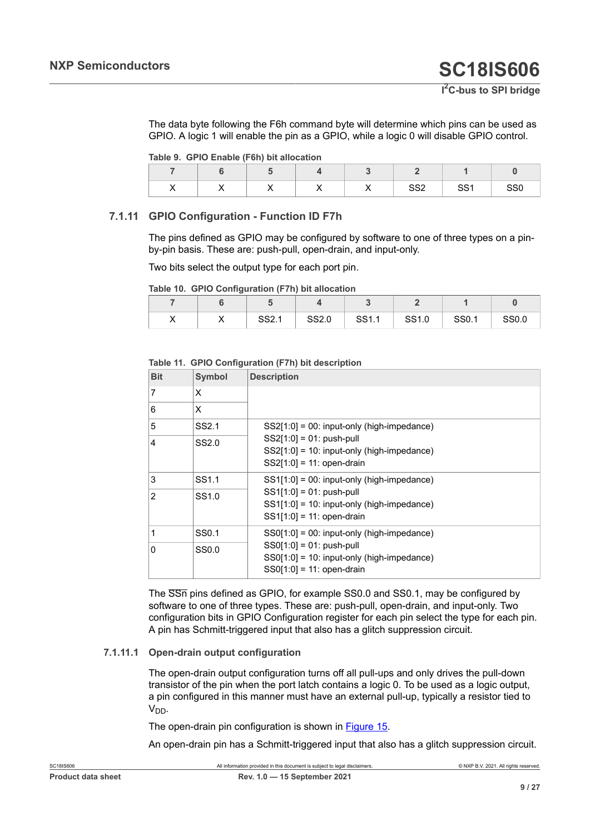The data byte following the F6h command byte will determine which pins can be used as GPIO. A logic 1 will enable the pin as a GPIO, while a logic 0 will disable GPIO control.

<span id="page-8-0"></span>

| Table 9. GPIO Enable (F6h) bit allocation |  |  |  |
|-------------------------------------------|--|--|--|
|-------------------------------------------|--|--|--|

| . . | $\cdot$ | . . | . . | $\cdot$ | CCO<br>ےت⊙ | cc.<br><u>ا ت</u> | SS <sub>0</sub> |
|-----|---------|-----|-----|---------|------------|-------------------|-----------------|

#### **7.1.11 GPIO Configuration - Function ID F7h**

<span id="page-8-3"></span>The pins defined as GPIO may be configured by software to one of three types on a pinby-pin basis. These are: push-pull, open-drain, and input-only.

Two bits select the output type for each port pin.

<span id="page-8-1"></span>

|  | Table 10. GPIO Configuration (F7h) bit allocation |  |
|--|---------------------------------------------------|--|
|  |                                                   |  |

| ,, | ,, | 0011<br>، ےت | SS2.0 | SS1.1 | SS1.0 | SS0.1 | SS0.0 |
|----|----|--------------|-------|-------|-------|-------|-------|

#### <span id="page-8-2"></span>**Table 11. GPIO Configuration (F7h) bit description**

| <b>Bit</b>    | <b>Symbol</b>     | <b>Description</b>                                                                                          |
|---------------|-------------------|-------------------------------------------------------------------------------------------------------------|
| 7             | X                 |                                                                                                             |
| 6             | X                 |                                                                                                             |
| 5             | SS <sub>2.1</sub> | $SS2[1:0] = 00$ : input-only (high-impedance)                                                               |
| 4             | SS2.0             | $SS2[1:0] = 01$ : push-pull<br>$SS2[1:0] = 10$ : input-only (high-impedance)<br>$SS2[1:0] = 11: open-drain$ |
| 3             | SS <sub>1.1</sub> | $SS1[1:0] = 00$ : input-only (high-impedance)                                                               |
| $\mathcal{P}$ | SS <sub>1.0</sub> | $SS1[1:0] = 01$ : push-pull<br>$SS1[1:0] = 10$ : input-only (high-impedance)<br>$SS1[1:0] = 11: open-drain$ |
| 1             | SS0.1             | $SSO[1:0] = 00$ : input-only (high-impedance)                                                               |
| 0             | SS0.0             | $SS0[1:0] = 01: push-pull$<br>$SS0[1:0] = 10$ : input-only (high-impedance)<br>$SS0[1:0] = 11: open-drain$  |

The SSn pins defined as GPIO, for example SS0.0 and SS0.1, may be configured by software to one of three types. These are: push-pull, open-drain, and input-only. Two configuration bits in GPIO Configuration register for each pin select the type for each pin. A pin has Schmitt-triggered input that also has a glitch suppression circuit.

#### **7.1.11.1 Open-drain output configuration**

<span id="page-8-4"></span>The open-drain output configuration turns off all pull-ups and only drives the pull-down transistor of the pin when the port latch contains a logic 0. To be used as a logic output, a pin configured in this manner must have an external pull-up, typically a resistor tied to V<sub>DD</sub>.

The open-drain pin configuration is shown in [Figure 15](#page-9-0).

An open-drain pin has a Schmitt-triggered input that also has a glitch suppression circuit.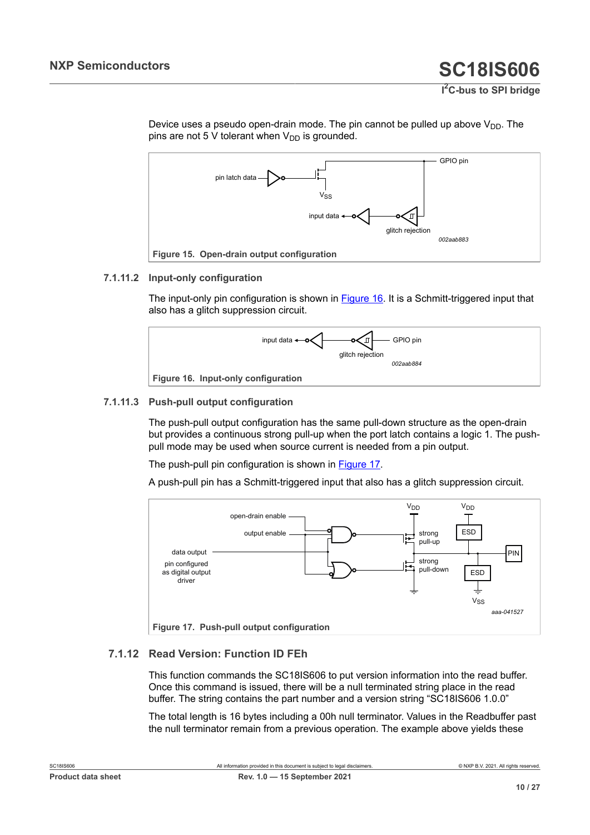

<span id="page-9-0"></span>

#### **7.1.11.2 Input-only configuration**

<span id="page-9-3"></span>The input-only pin configuration is shown in [Figure 16.](#page-9-1) It is a Schmitt-triggered input that also has a glitch suppression circuit.

<span id="page-9-1"></span>

#### **7.1.11.3 Push-pull output configuration**

<span id="page-9-4"></span>The push-pull output configuration has the same pull-down structure as the open-drain but provides a continuous strong pull-up when the port latch contains a logic 1. The pushpull mode may be used when source current is needed from a pin output.

The push-pull pin configuration is shown in [Figure 17.](#page-9-2)

A push-pull pin has a Schmitt-triggered input that also has a glitch suppression circuit.

<span id="page-9-2"></span>

#### **7.1.12 Read Version: Function ID FEh**

<span id="page-9-5"></span>This function commands the SC18IS606 to put version information into the read buffer. Once this command is issued, there will be a null terminated string place in the read buffer. The string contains the part number and a version string "SC18IS606 1.0.0"

The total length is 16 bytes including a 00h null terminator. Values in the Readbuffer past the null terminator remain from a previous operation. The example above yields these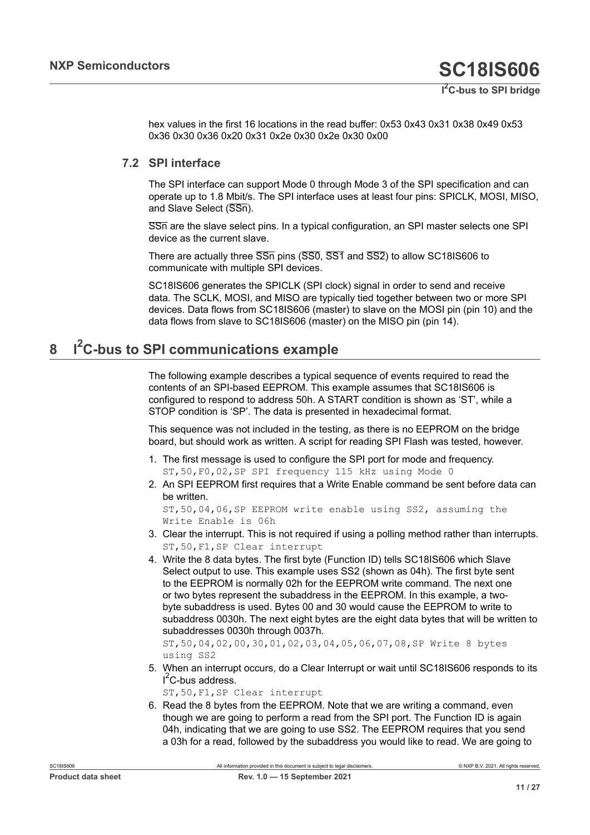hex values in the first 16 locations in the read buffer: 0x53 0x43 0x31 0x38 0x49 0x53 0x36 0x30 0x36 0x20 0x31 0x2e 0x30 0x2e 0x30 0x00

### **7.2 SPI interface**

<span id="page-10-1"></span>The SPI interface can support Mode 0 through Mode 3 of the SPI specification and can operate up to 1.8 Mbit/s. The SPI interface uses at least four pins: SPICLK, MOSI, MISO, and Slave Select (SSn).

SSn are the slave select pins. In a typical configuration, an SPI master selects one SPI device as the current slave.

There are actually three  $\overline{SSn}$  pins (SS0, SS1 and SS2) to allow SC18IS606 to communicate with multiple SPI devices.

SC18IS606 generates the SPICLK (SPI clock) signal in order to send and receive data. The SCLK, MOSI, and MISO are typically tied together between two or more SPI devices. Data flows from SC18IS606 (master) to slave on the MOSI pin (pin 10) and the data flows from slave to SC18IS606 (master) on the MISO pin (pin 14).

#### <span id="page-10-0"></span>**8 I <sup>2</sup>C-bus to SPI communications example**

The following example describes a typical sequence of events required to read the contents of an SPI-based EEPROM. This example assumes that SC18IS606 is configured to respond to address 50h. A START condition is shown as 'ST', while a STOP condition is 'SP'. The data is presented in hexadecimal format.

This sequence was not included in the testing, as there is no EEPROM on the bridge board, but should work as written. A script for reading SPI Flash was tested, however.

- 1. The first message is used to configure the SPI port for mode and frequency. ST,50,F0,02,SP SPI frequency 115 kHz using Mode 0
- 2. An SPI EEPROM first requires that a Write Enable command be sent before data can be written.

ST,50,04,06,SP EEPROM write enable using SS2, assuming the Write Enable is 06h

- 3. Clear the interrupt. This is not required if using a polling method rather than interrupts. ST,50,F1,SP Clear interrupt
- 4. Write the 8 data bytes. The first byte (Function ID) tells SC18IS606 which Slave Select output to use. This example uses SS2 (shown as 04h). The first byte sent to the EEPROM is normally 02h for the EEPROM write command. The next one or two bytes represent the subaddress in the EEPROM. In this example, a twobyte subaddress is used. Bytes 00 and 30 would cause the EEPROM to write to subaddress 0030h. The next eight bytes are the eight data bytes that will be written to subaddresses 0030h through 0037h.

ST,50,04,02,00,30,01,02,03,04,05,06,07,08,SP Write 8 bytes using SS2

5. When an interrupt occurs, do a Clear Interrupt or wait until SC18IS606 responds to its  $I<sup>2</sup>C$ -bus address.

ST,50,F1,SP Clear interrupt

6. Read the 8 bytes from the EEPROM. Note that we are writing a command, even though we are going to perform a read from the SPI port. The Function ID is again 04h, indicating that we are going to use SS2. The EEPROM requires that you send a 03h for a read, followed by the subaddress you would like to read. We are going to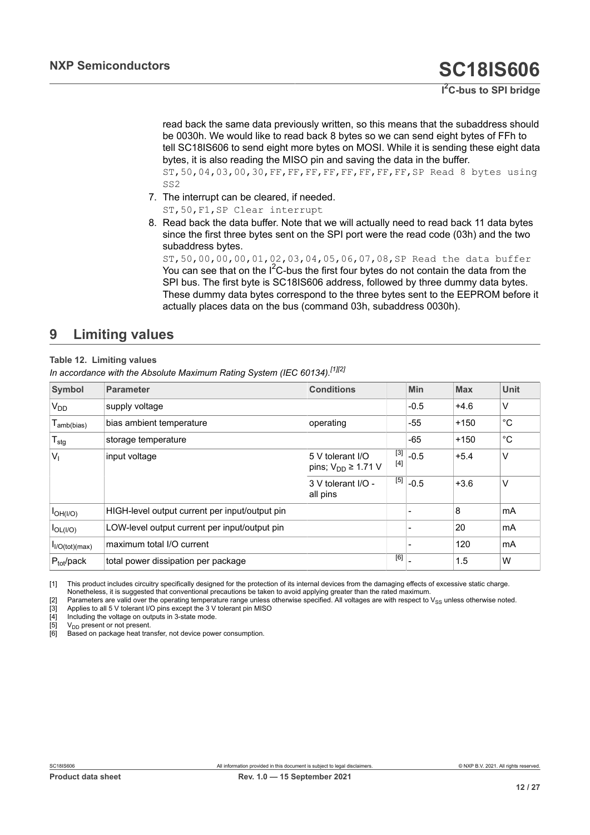<span id="page-11-2"></span><span id="page-11-1"></span><span id="page-11-0"></span>read back the same data previously written, so this means that the subaddress should be 0030h. We would like to read back 8 bytes so we can send eight bytes of FFh to tell SC18IS606 to send eight more bytes on MOSI. While it is sending these eight data bytes, it is also reading the MISO pin and saving the data in the buffer. ST,50,04,03,00,30,FF,FF,FF,FF,FF,FF,FF,FF,SP Read 8 bytes using SS2

- <span id="page-11-5"></span><span id="page-11-4"></span><span id="page-11-3"></span>7. The interrupt can be cleared, if needed. ST,50,F1,SP Clear interrupt
- 8. Read back the data buffer. Note that we will actually need to read back 11 data bytes since the first three bytes sent on the SPI port were the read code (03h) and the two subaddress bytes.

ST,50,00,00,00,01,02,03,04,05,06,07,08,SP Read the data buffer You can see that on the  $I^2C$ -bus the first four bytes do not contain the data from the SPI bus. The first byte is SC18IS606 address, followed by three dummy data bytes. These dummy data bytes correspond to the three bytes sent to the EEPROM before it actually places data on the bus (command 03h, subaddress 0030h).

## <span id="page-11-7"></span>**9 Limiting values**

#### **Table 12. Limiting values**

<span id="page-11-6"></span>*In accordance with the Absolute Maximum Rating System (IEC 60134).[\[1\]](#page-11-0)[\[2\]](#page-11-1)*

| Symbol                      | <b>Parameter</b>                               | <b>Conditions</b>                              |              | Min    | <b>Max</b> | Unit         |
|-----------------------------|------------------------------------------------|------------------------------------------------|--------------|--------|------------|--------------|
| <b>V<sub>DD</sub></b>       | supply voltage                                 |                                                |              | $-0.5$ | $+4.6$     | ٧            |
| $T_{amb(bias)}$             | bias ambient temperature                       | operating                                      |              | -55    | $+150$     | $^{\circ}$ C |
| $T_{\text{stg}}$            | storage temperature                            |                                                |              | $-65$  | $+150$     | °C           |
| $V_{\parallel}$             | input voltage                                  | 5 V tolerant I/O<br>pins; $V_{DD} \geq 1.71$ V | [3]<br>$[4]$ | $-0.5$ | $+5.4$     | V            |
|                             |                                                | 3 V tolerant I/O -<br>all pins                 | $[5]$        | $-0.5$ | $+3.6$     | V            |
| $I_{OH(I/O)}$               | HIGH-level output current per input/output pin |                                                |              |        | 8          | mA           |
| $I_{OL( I/O)}$              | LOW-level output current per input/output pin  |                                                |              |        | 20         | mA           |
| I <sub>I/O</sub> (tot)(max) | maximum total I/O current                      |                                                |              |        | 120        | mA           |
| $P_{\text{tot}}$ /pack      | total power dissipation per package            |                                                | [6]          |        | 1.5        | W            |

[1] This product includes circuitry specifically designed for the protection of its internal devices from the damaging effects of excessive static charge. Nonetheless, it is suggested that conventional precautions be taken to avoid applying greater than the rated maximum.

[2] Parameters are valid over the operating temperature range unless otherwise specified. All voltages are with respect to V<sub>SS</sub> unless otherwise noted.<br>[3] Applies to all 5 V tolerant I/O pins except the 3 V tolerant pin

[3] Applies to all 5 V tolerant I/O pins except the 3 V tolerant pin MISO [4] Including the voltage on outputs in 3-state mode.

[4] Including the voltage on outputs in 3-state mode.<br>[5] V<sub>DD</sub> present or not present.

 $[5]$  V<sub>DD</sub> present or not present.<br>[6] Based on package heat train Based on package heat transfer, not device power consumption.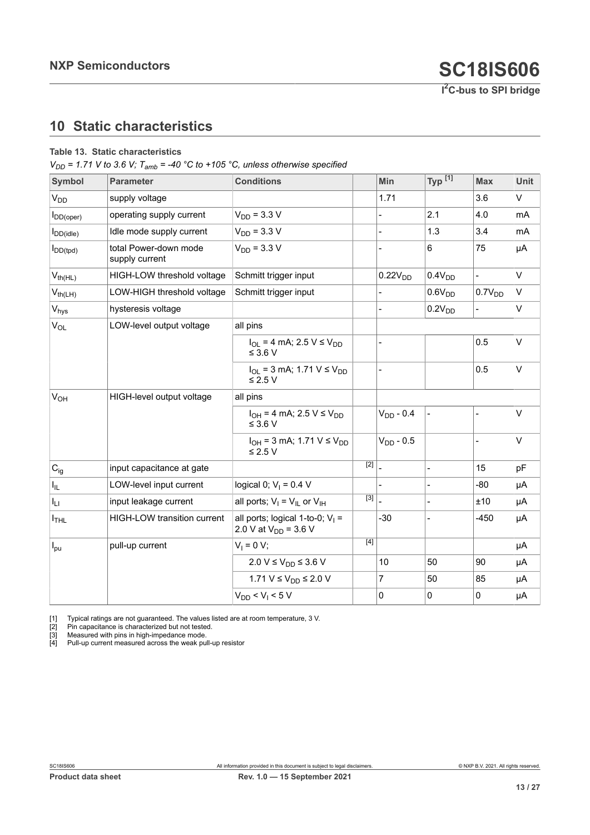## <span id="page-12-5"></span><span id="page-12-1"></span><span id="page-12-0"></span>**10 Static characteristics**

#### <span id="page-12-4"></span><span id="page-12-3"></span><span id="page-12-2"></span>**Table 13. Static characteristics**

 $V_{DD}$  = 1.71 V to 3.6 V;  $T_{amb}$  = -40 °C to +105 °C, unless otherwise specified

| Symbol           | <b>Parameter</b>                        | <b>Conditions</b>                                               |                  | Min                      | Typ $^{[1]}$             | <b>Max</b>         | <b>Unit</b> |
|------------------|-----------------------------------------|-----------------------------------------------------------------|------------------|--------------------------|--------------------------|--------------------|-------------|
| V <sub>DD</sub>  | supply voltage                          |                                                                 |                  | 1.71                     |                          | 3.6                | $\vee$      |
| $I_{DD(open)}$   | operating supply current                | $V_{DD} = 3.3 V$                                                |                  |                          | 2.1                      | 4.0                | mA          |
| $I_{DD(idle)}$   | Idle mode supply current                | $V_{DD}$ = 3.3 V                                                |                  | $\overline{\phantom{a}}$ | 1.3                      | 3.4                | mA          |
| $I_{DD(tpd)}$    | total Power-down mode<br>supply current | $V_{DD} = 3.3 V$                                                |                  |                          | 6                        | 75                 | μA          |
| $V_{th(HL)}$     | HIGH-LOW threshold voltage              | Schmitt trigger input                                           |                  | 0.22V <sub>DD</sub>      | 0.4V <sub>DD</sub>       | $\frac{1}{2}$      | V           |
| $V_{th(LH)}$     | LOW-HIGH threshold voltage              | Schmitt trigger input                                           |                  |                          | 0.6V <sub>DD</sub>       | 0.7V <sub>DD</sub> | V           |
| $V_{\text{hys}}$ | hysteresis voltage                      |                                                                 |                  |                          | 0.2V <sub>DD</sub>       |                    | V           |
| $V_{OL}$         | LOW-level output voltage                | all pins                                                        |                  |                          |                          |                    |             |
|                  |                                         | $I_{OL}$ = 4 mA; 2.5 V $\leq$ V <sub>DD</sub><br>$\leq$ 3.6 V   |                  |                          |                          | 0.5                | $\vee$      |
|                  |                                         | $I_{OL}$ = 3 mA; 1.71 V $\leq$ V <sub>DD</sub><br>$\leq$ 2.5 V  |                  | $\blacksquare$           |                          | 0.5                | $\vee$      |
| V <sub>OH</sub>  | HIGH-level output voltage               | all pins                                                        |                  |                          |                          |                    |             |
|                  |                                         | $I_{OH} = 4$ mA; 2.5 V $\leq$ V <sub>DD</sub><br>$\leq$ 3.6 V   |                  | $V_{DD} - 0.4$           |                          | $\overline{a}$     | $\vee$      |
|                  |                                         | $I_{OH}$ = 3 mA; 1.71 V $\leq$ V <sub>DD</sub><br>$\leq$ 2.5 V  |                  | $VDD - 0.5$              |                          |                    | $\vee$      |
| $C_{ig}$         | input capacitance at gate               |                                                                 | $\overline{[2]}$ |                          |                          | 15                 | pF          |
| $I_{IL}$         | LOW-level input current                 | logical 0; $V_1 = 0.4$ V                                        |                  | $\blacksquare$           | $\overline{\phantom{0}}$ | $-80$              | μA          |
| Ιu               | input leakage current                   | all ports; $V_I = V_{IL}$ or $V_{IH}$                           | $\overline{[3]}$ |                          |                          | ±10                | μA          |
| $I_{\sf THL}$    | HIGH-LOW transition current             | all ports; logical 1-to-0; $V_1$ =<br>2.0 V at $V_{DD}$ = 3.6 V |                  | $-30$                    |                          | $-450$             | μA          |
| $I_{\text{pu}}$  | pull-up current                         | $V_1 = 0 V;$                                                    | [4]              |                          |                          |                    | μA          |
|                  |                                         | 2.0 V ≤ $V_{DD}$ ≤ 3.6 V                                        |                  | 10                       | 50                       | 90                 | μA          |
|                  |                                         | 1.71 V ≤ $V_{DD}$ ≤ 2.0 V                                       |                  | $\overline{7}$           | 50                       | 85                 | μA          |
|                  |                                         | $V_{DD}$ < $V_1$ < 5 V                                          |                  | $\mathbf 0$              | 0                        | 0                  | μA          |

[1] Typical ratings are not guaranteed. The values listed are at room temperature, 3 V.<br>
[2] Pin capacitance is characterized but not tested.<br>
[3] Measured with pins in high-impedance mode.<br>
[4] Pull-up current measured ac

[2] Pin capacitance is characterized but not tested.

[3] Measured with pins in high-impedance mode.

[4] Pull-up current measured across the weak pull-up resistor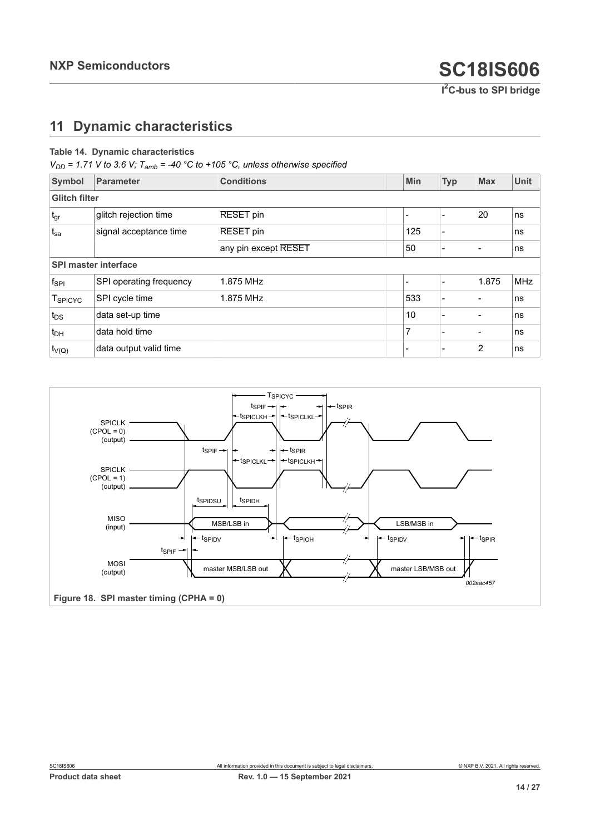## <span id="page-13-2"></span>**11 Dynamic characteristics**

#### <span id="page-13-1"></span>**Table 14. Dynamic characteristics**

 $V_{DD}$  = 1.71 V to 3.6 V;  $T_{amb}$  = -40 °C to +105 °C, unless otherwise specified

| <b>Symbol</b>        | Parameter                   | <b>Conditions</b>    | <b>Min</b> | <b>Typ</b>               | <b>Max</b> | <b>Unit</b> |
|----------------------|-----------------------------|----------------------|------------|--------------------------|------------|-------------|
| <b>Glitch filter</b> |                             |                      |            |                          |            |             |
| $t_{gr}$             | glitch rejection time       | <b>RESET</b> pin     |            |                          | 20         | ns          |
| $t_{sa}$             | signal acceptance time      | <b>RESET</b> pin     | 125        |                          |            | ns          |
|                      |                             | any pin except RESET | 50         | $\blacksquare$           |            | ns          |
|                      | <b>SPI master interface</b> |                      |            |                          |            |             |
| $f_{\rm SPI}$        | SPI operating frequency     | 1.875 MHz            |            |                          | 1.875      | <b>MHz</b>  |
| T <sub>SPICYC</sub>  | SPI cycle time              | 1.875 MHz            | 533        | $\overline{\phantom{0}}$ |            | ns          |
| $t_{DS}$             | data set-up time            |                      | 10         |                          |            | ns          |
| $t_{DH}$             | data hold time              |                      | 7          |                          |            | ns          |
| $t_{V(Q)}$           | data output valid time      |                      |            |                          | 2          | ns          |

<span id="page-13-0"></span>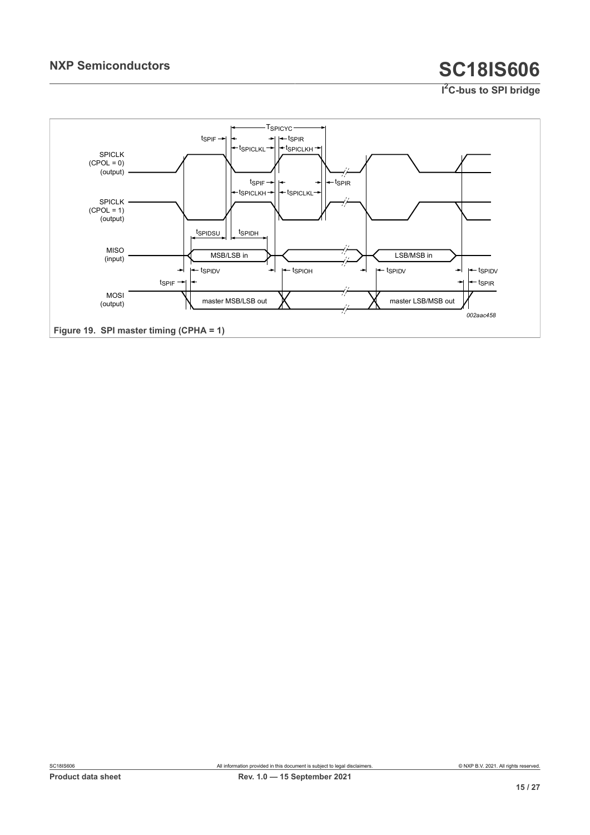<span id="page-14-0"></span>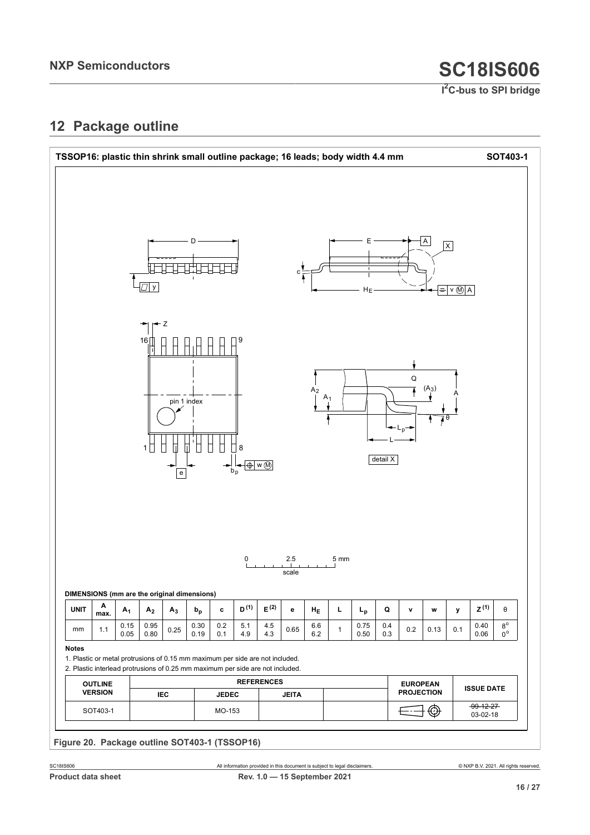## <span id="page-15-1"></span>**12 Package outline**

<span id="page-15-0"></span>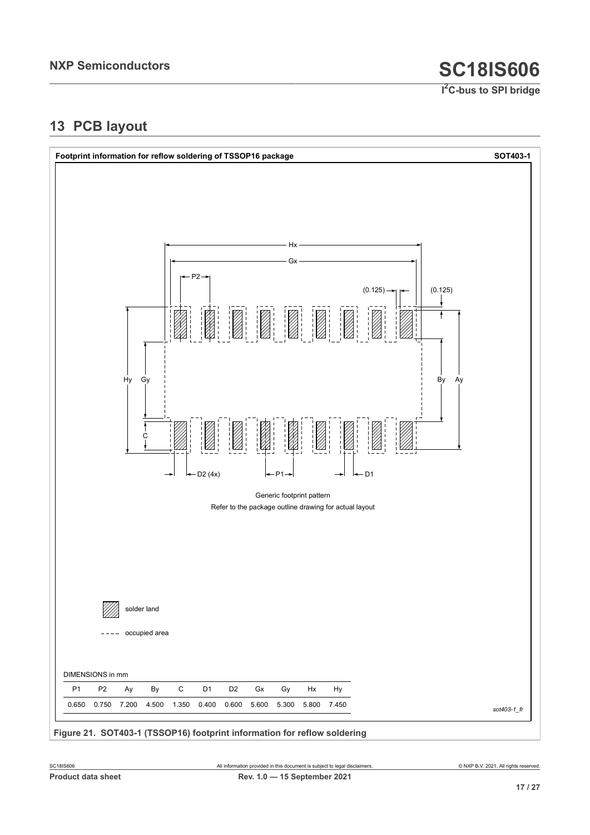## <span id="page-16-1"></span>**13 PCB layout**

<span id="page-16-0"></span>

**Figure 21. SOT403-1 (TSSOP16) footprint information for reflow soldering**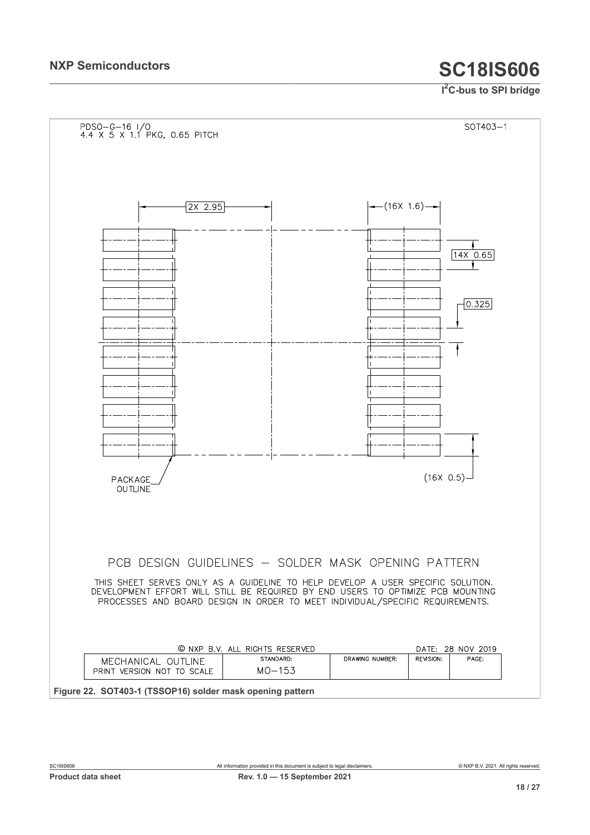<span id="page-17-0"></span>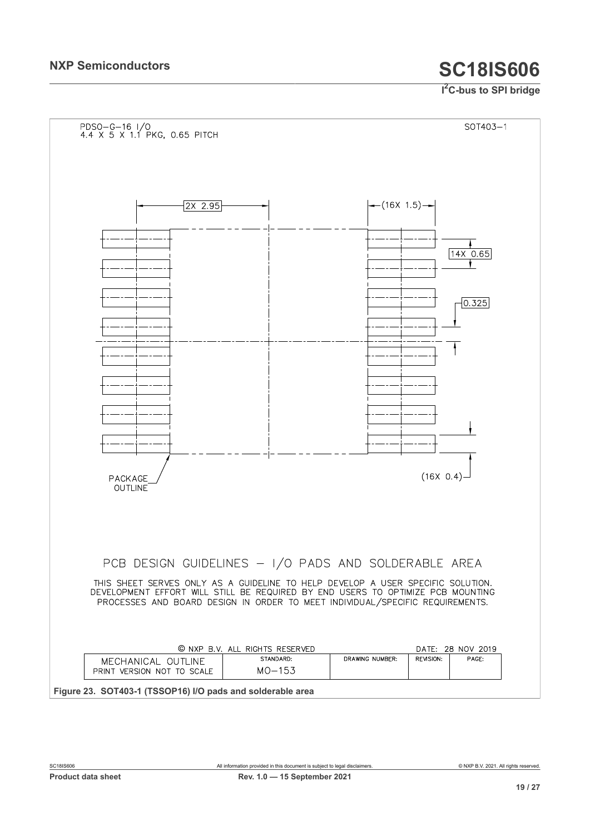<span id="page-18-0"></span>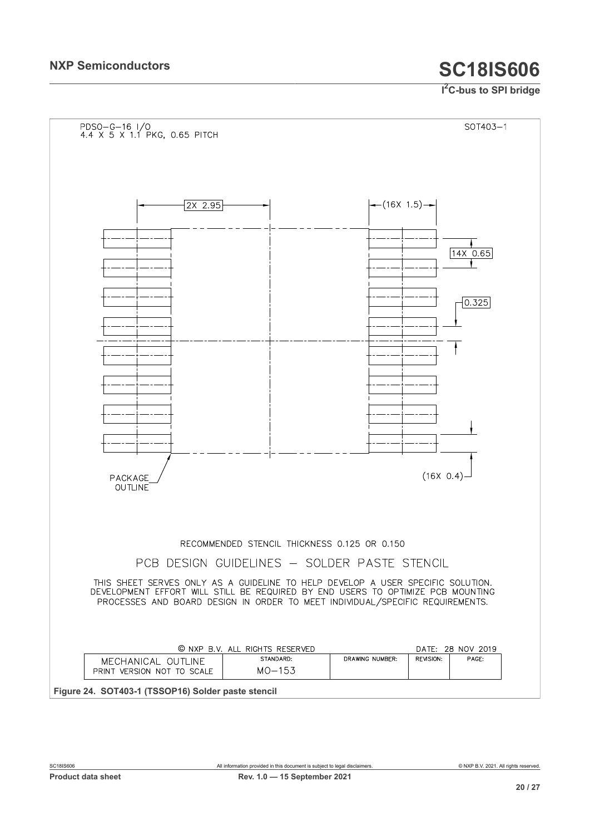<span id="page-19-0"></span>![](_page_19_Figure_3.jpeg)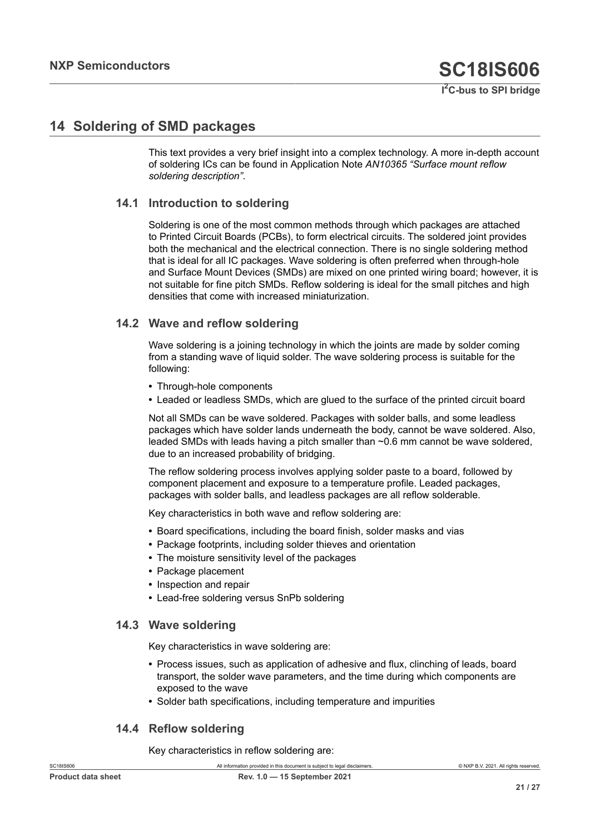## <span id="page-20-0"></span>**14 Soldering of SMD packages**

This text provides a very brief insight into a complex technology. A more in-depth account of soldering ICs can be found in Application Note *AN10365 "Surface mount reflow soldering description"*.

### **14.1 Introduction to soldering**

Soldering is one of the most common methods through which packages are attached to Printed Circuit Boards (PCBs), to form electrical circuits. The soldered joint provides both the mechanical and the electrical connection. There is no single soldering method that is ideal for all IC packages. Wave soldering is often preferred when through-hole and Surface Mount Devices (SMDs) are mixed on one printed wiring board; however, it is not suitable for fine pitch SMDs. Reflow soldering is ideal for the small pitches and high densities that come with increased miniaturization.

#### **14.2 Wave and reflow soldering**

Wave soldering is a joining technology in which the joints are made by solder coming from a standing wave of liquid solder. The wave soldering process is suitable for the following:

- **•** Through-hole components
- **•** Leaded or leadless SMDs, which are glued to the surface of the printed circuit board

Not all SMDs can be wave soldered. Packages with solder balls, and some leadless packages which have solder lands underneath the body, cannot be wave soldered. Also, leaded SMDs with leads having a pitch smaller than ~0.6 mm cannot be wave soldered, due to an increased probability of bridging.

The reflow soldering process involves applying solder paste to a board, followed by component placement and exposure to a temperature profile. Leaded packages, packages with solder balls, and leadless packages are all reflow solderable.

Key characteristics in both wave and reflow soldering are:

- **•** Board specifications, including the board finish, solder masks and vias
- **•** Package footprints, including solder thieves and orientation
- **•** The moisture sensitivity level of the packages
- **•** Package placement
- **•** Inspection and repair
- **•** Lead-free soldering versus SnPb soldering

#### **14.3 Wave soldering**

Key characteristics in wave soldering are:

- **•** Process issues, such as application of adhesive and flux, clinching of leads, board transport, the solder wave parameters, and the time during which components are exposed to the wave
- **•** Solder bath specifications, including temperature and impurities

#### **14.4 Reflow soldering**

Key characteristics in reflow soldering are: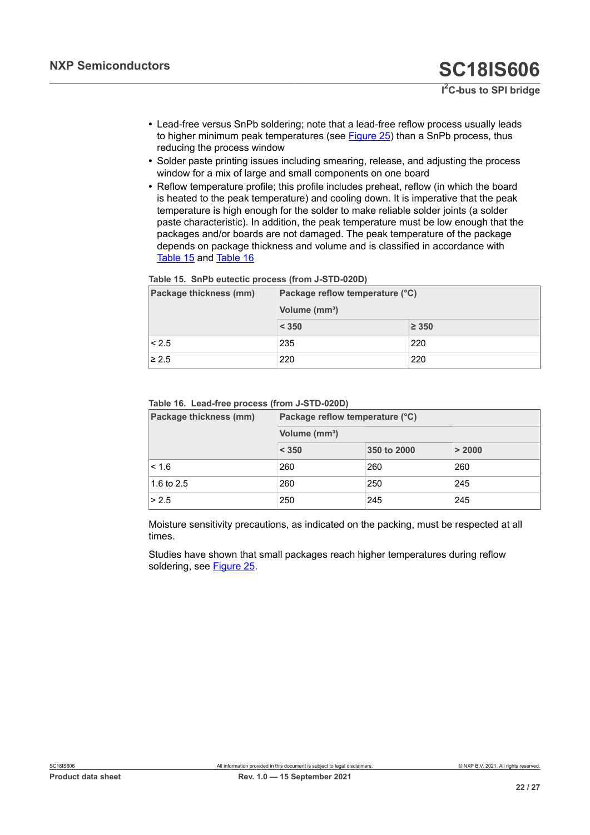- **•** Lead-free versus SnPb soldering; note that a lead-free reflow process usually leads to higher minimum peak temperatures (see [Figure 25](#page-22-0)) than a SnPb process, thus reducing the process window
- **•** Solder paste printing issues including smearing, release, and adjusting the process window for a mix of large and small components on one board
- **•** Reflow temperature profile; this profile includes preheat, reflow (in which the board is heated to the peak temperature) and cooling down. It is imperative that the peak temperature is high enough for the solder to make reliable solder joints (a solder paste characteristic). In addition, the peak temperature must be low enough that the packages and/or boards are not damaged. The peak temperature of the package depends on package thickness and volume and is classified in accordance with [Table](#page-21-0) 15 and [Table](#page-21-1) 16

#### <span id="page-21-0"></span>**Table 15. SnPb eutectic process (from J-STD-020D)**

| Package thickness (mm) | Package reflow temperature (°C) |            |  |  |  |
|------------------------|---------------------------------|------------|--|--|--|
|                        | Volume (mm <sup>3</sup> )       |            |  |  |  |
|                        | < 350                           | $\geq 350$ |  |  |  |
| < 2.5                  | 235                             | 220        |  |  |  |
| $\geq 2.5$             | 220                             | 220        |  |  |  |

#### <span id="page-21-1"></span>**Table 16. Lead-free process (from J-STD-020D)**

| Package thickness (mm) | Package reflow temperature (°C) |             |        |  |  |  |  |
|------------------------|---------------------------------|-------------|--------|--|--|--|--|
|                        | Volume (mm <sup>3</sup> )       |             |        |  |  |  |  |
|                        | < 350                           | 350 to 2000 | > 2000 |  |  |  |  |
| < 1.6                  | 260                             | 260         | 260    |  |  |  |  |
| 1.6 to $2.5$           | 260                             | 250         | 245    |  |  |  |  |
| > 2.5                  | 250                             | 245         | 245    |  |  |  |  |

Moisture sensitivity precautions, as indicated on the packing, must be respected at all times.

Studies have shown that small packages reach higher temperatures during reflow soldering, see [Figure 25](#page-22-0).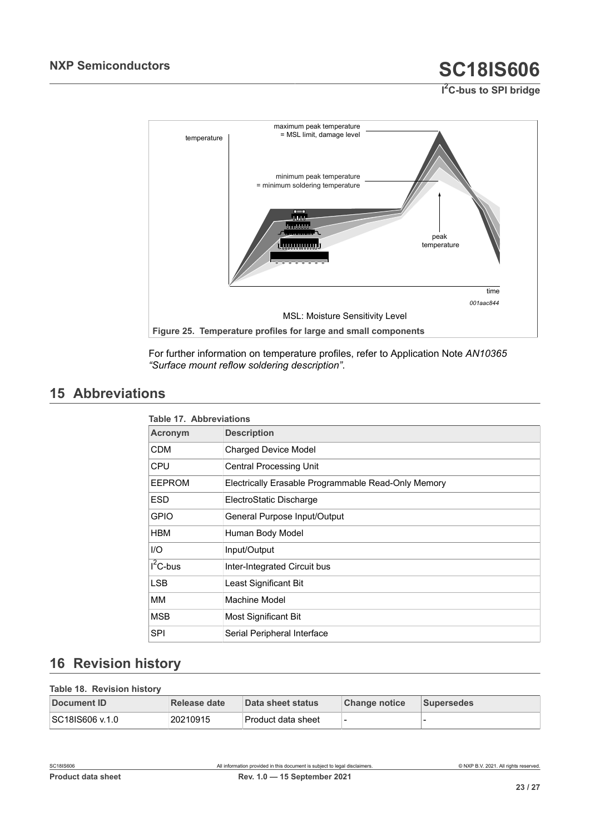<span id="page-22-0"></span>![](_page_22_Figure_3.jpeg)

For further information on temperature profiles, refer to Application Note *AN10365 "Surface mount reflow soldering description"*.

## <span id="page-22-3"></span>**15 Abbreviations**

<span id="page-22-1"></span>

| Table 17. Abbreviations |                                                     |  |  |
|-------------------------|-----------------------------------------------------|--|--|
| Acronym                 | <b>Description</b>                                  |  |  |
| <b>CDM</b>              | <b>Charged Device Model</b>                         |  |  |
| <b>CPU</b>              | <b>Central Processing Unit</b>                      |  |  |
| <b>EEPROM</b>           | Electrically Erasable Programmable Read-Only Memory |  |  |
| <b>ESD</b>              | ElectroStatic Discharge                             |  |  |
| <b>GPIO</b>             | General Purpose Input/Output                        |  |  |
| <b>HBM</b>              | Human Body Model                                    |  |  |
| I/O                     | Input/Output                                        |  |  |
| $I^2C$ -bus             | Inter-Integrated Circuit bus                        |  |  |
| <b>LSB</b>              | Least Significant Bit                               |  |  |
| MМ                      | Machine Model                                       |  |  |
| <b>MSB</b>              | Most Significant Bit                                |  |  |
| SPI                     | Serial Peripheral Interface                         |  |  |

## <span id="page-22-4"></span>**16 Revision history**

<span id="page-22-2"></span>

| Table 18. Revision history |              |                    |                      |                   |
|----------------------------|--------------|--------------------|----------------------|-------------------|
| Document ID                | Release date | Data sheet status  | <b>Change notice</b> | <b>Supersedes</b> |
| SC18IS606 v.1.0            | 20210915     | Product data sheet |                      |                   |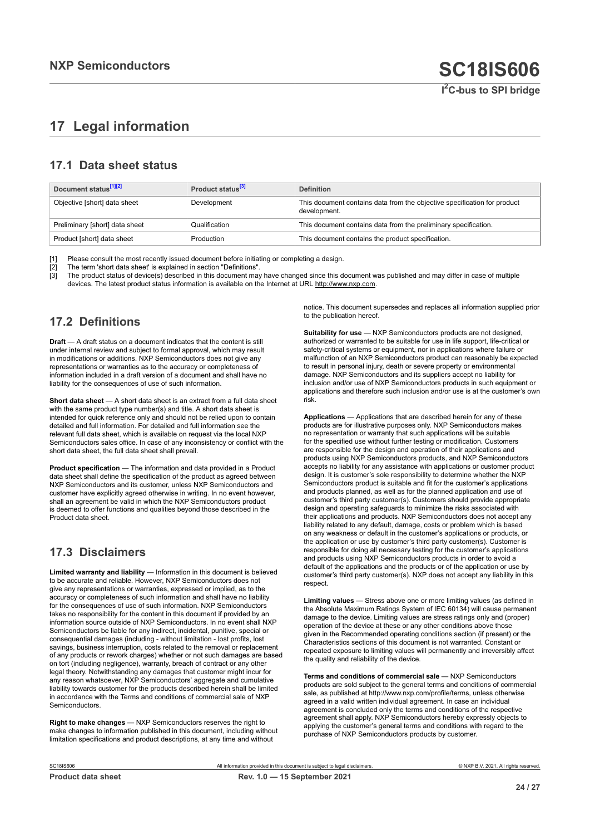## <span id="page-23-0"></span>**17 Legal information**

## **17.1 Data sheet status**

| Document status <sup>[1][2]</sup> | Product status <sup>[3]</sup> | <b>Definition</b>                                                                        |
|-----------------------------------|-------------------------------|------------------------------------------------------------------------------------------|
| Objective [short] data sheet      | Development                   | This document contains data from the objective specification for product<br>development. |
| Preliminary [short] data sheet    | Qualification                 | This document contains data from the preliminary specification.                          |
| Product [short] data sheet        | Production                    | This document contains the product specification.                                        |

[1] Please consult the most recently issued document before initiating or completing a design.<br>[2] The term 'short data sheet' is explained in section "Definitions".

t :<br>[2] The term 'short data sheet' is explained in section "Definitions".<br>[3] The product status of device(s) described in this document may

The product status of device(s) described in this document may have changed since this document was published and may differ in case of multiple devices. The latest product status information is available on the Internet at URL http://www.nxp.com.

## **17.2 Definitions**

**Draft** — A draft status on a document indicates that the content is still under internal review and subject to formal approval, which may result in modifications or additions. NXP Semiconductors does not give any representations or warranties as to the accuracy or completeness of information included in a draft version of a document and shall have no liability for the consequences of use of such information.

**Short data sheet** — A short data sheet is an extract from a full data sheet with the same product type number(s) and title. A short data sheet is intended for quick reference only and should not be relied upon to contain detailed and full information. For detailed and full information see the relevant full data sheet, which is available on request via the local NXP Semiconductors sales office. In case of any inconsistency or conflict with the short data sheet, the full data sheet shall prevail.

**Product specification** — The information and data provided in a Product data sheet shall define the specification of the product as agreed between NXP Semiconductors and its customer, unless NXP Semiconductors and customer have explicitly agreed otherwise in writing. In no event however, shall an agreement be valid in which the NXP Semiconductors product is deemed to offer functions and qualities beyond those described in the Product data sheet.

## **17.3 Disclaimers**

**Limited warranty and liability** — Information in this document is believed to be accurate and reliable. However, NXP Semiconductors does not give any representations or warranties, expressed or implied, as to the accuracy or completeness of such information and shall have no liability for the consequences of use of such information. NXP Semiconductors takes no responsibility for the content in this document if provided by an information source outside of NXP Semiconductors. In no event shall NXP Semiconductors be liable for any indirect, incidental, punitive, special or consequential damages (including - without limitation - lost profits, lost savings, business interruption, costs related to the removal or replacement of any products or rework charges) whether or not such damages are based on tort (including negligence), warranty, breach of contract or any other legal theory. Notwithstanding any damages that customer might incur for any reason whatsoever, NXP Semiconductors' aggregate and cumulative liability towards customer for the products described herein shall be limited in accordance with the Terms and conditions of commercial sale of NXP **Semiconductors** 

**Right to make changes** — NXP Semiconductors reserves the right to make changes to information published in this document, including without limitation specifications and product descriptions, at any time and without

notice. This document supersedes and replaces all information supplied prior to the publication hereof.

**Suitability for use** — NXP Semiconductors products are not designed, authorized or warranted to be suitable for use in life support, life-critical or safety-critical systems or equipment, nor in applications where failure or malfunction of an NXP Semiconductors product can reasonably be expected to result in personal injury, death or severe property or environmental damage. NXP Semiconductors and its suppliers accept no liability for inclusion and/or use of NXP Semiconductors products in such equipment or applications and therefore such inclusion and/or use is at the customer's own risk.

**Applications** — Applications that are described herein for any of these products are for illustrative purposes only. NXP Semiconductors makes no representation or warranty that such applications will be suitable for the specified use without further testing or modification. Customers are responsible for the design and operation of their applications and products using NXP Semiconductors products, and NXP Semiconductors accepts no liability for any assistance with applications or customer product design. It is customer's sole responsibility to determine whether the NXP Semiconductors product is suitable and fit for the customer's applications and products planned, as well as for the planned application and use of customer's third party customer(s). Customers should provide appropriate design and operating safeguards to minimize the risks associated with their applications and products. NXP Semiconductors does not accept any liability related to any default, damage, costs or problem which is based on any weakness or default in the customer's applications or products, or the application or use by customer's third party customer(s). Customer is responsible for doing all necessary testing for the customer's applications and products using NXP Semiconductors products in order to avoid a default of the applications and the products or of the application or use by customer's third party customer(s). NXP does not accept any liability in this respect.

**Limiting values** — Stress above one or more limiting values (as defined in the Absolute Maximum Ratings System of IEC 60134) will cause permanent damage to the device. Limiting values are stress ratings only and (proper) operation of the device at these or any other conditions above those given in the Recommended operating conditions section (if present) or the Characteristics sections of this document is not warranted. Constant or repeated exposure to limiting values will permanently and irreversibly affect the quality and reliability of the device.

**Terms and conditions of commercial sale** — NXP Semiconductors products are sold subject to the general terms and conditions of commercial sale, as published at http://www.nxp.com/profile/terms, unless otherwise agreed in a valid written individual agreement. In case an individual agreement is concluded only the terms and conditions of the respective agreement shall apply. NXP Semiconductors hereby expressly objects to applying the customer's general terms and conditions with regard to the purchase of NXP Semiconductors products by customer.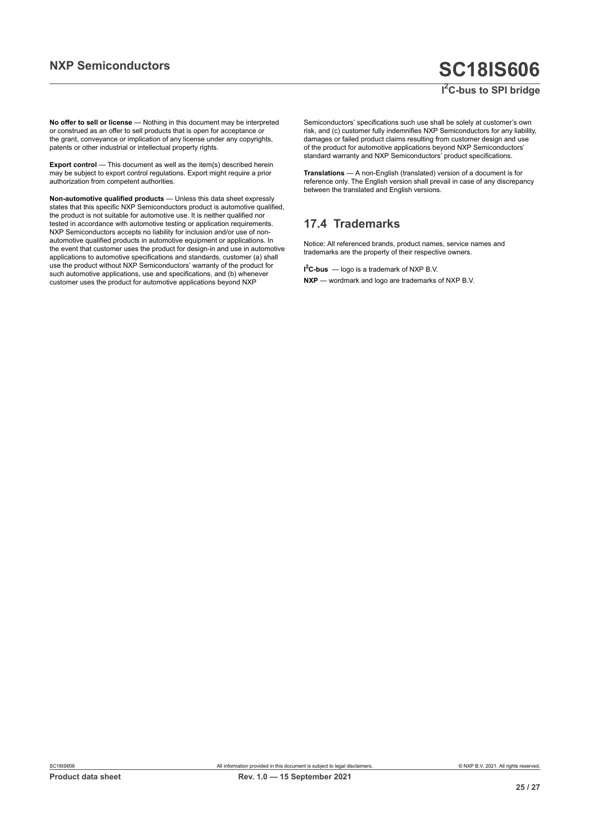## **NXP Semiconductors SC18IS606 I <sup>2</sup>C-bus to SPI bridge**

**No offer to sell or license** — Nothing in this document may be interpreted or construed as an offer to sell products that is open for acceptance or the grant, conveyance or implication of any license under any copyrights, patents or other industrial or intellectual property rights.

**Export control** — This document as well as the item(s) described herein may be subject to export control regulations. Export might require a prior authorization from competent authorities.

**Non-automotive qualified products** — Unless this data sheet expressly states that this specific NXP Semiconductors product is automotive qualified, the product is not suitable for automotive use. It is neither qualified nor tested in accordance with automotive testing or application requirements. NXP Semiconductors accepts no liability for inclusion and/or use of nonautomotive qualified products in automotive equipment or applications. In the event that customer uses the product for design-in and use in automotive applications to automotive specifications and standards, customer (a) shall use the product without NXP Semiconductors' warranty of the product for such automotive applications, use and specifications, and (b) whenever customer uses the product for automotive applications beyond NXP

Semiconductors' specifications such use shall be solely at customer's own risk, and (c) customer fully indemnifies NXP Semiconductors for any liability, damages or failed product claims resulting from customer design and use of the product for automotive applications beyond NXP Semiconductors' standard warranty and NXP Semiconductors' product specifications.

**Translations** — A non-English (translated) version of a document is for reference only. The English version shall prevail in case of any discrepancy between the translated and English versions.

## **17.4 Trademarks**

Notice: All referenced brands, product names, service names and trademarks are the property of their respective owners.

**I <sup>2</sup>C-bus** — logo is a trademark of NXP B.V.

**NXP** — wordmark and logo are trademarks of NXP B.V.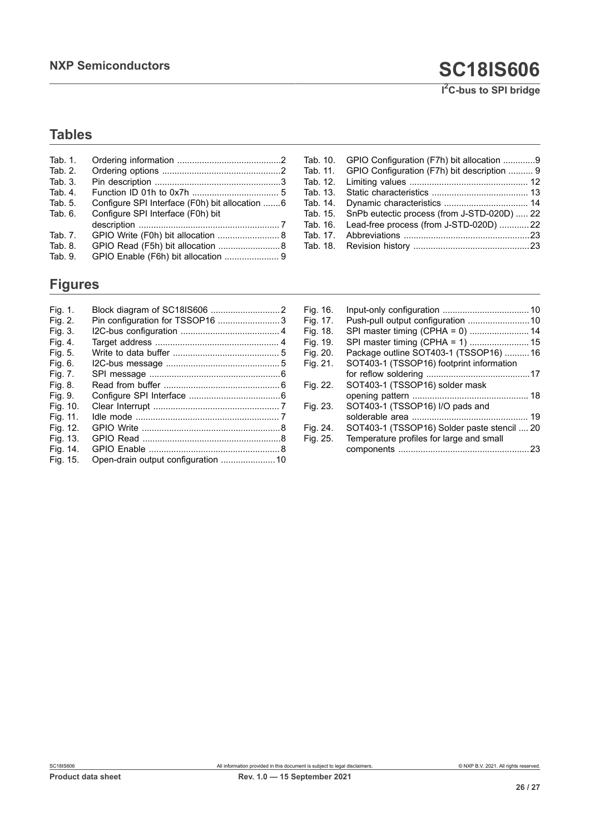## **Tables**

| Tab. 1. |                                                |
|---------|------------------------------------------------|
| Tab. 2. |                                                |
| Tab. 3. |                                                |
| Tab. 4. |                                                |
| Tab. 5. | Configure SPI Interface (F0h) bit allocation 6 |
| Tab. 6. | Configure SPI Interface (F0h) bit              |
|         |                                                |
| Tab. 7. | GPIO Write (F0h) bit allocation  8             |
| Tab. 8. | GPIO Read (F5h) bit allocation  8              |
| Tab. 9. | GPIO Enable (F6h) bit allocation  9            |

## **Figures**

| Fig. 1.  |                                 |  |
|----------|---------------------------------|--|
| Fig. 2.  | Pin configuration for TSSOP16 3 |  |
| Fig. 3.  |                                 |  |
| Fig. 4.  |                                 |  |
| Fig. 5.  |                                 |  |
| Fig. 6.  |                                 |  |
| Fig. 7.  |                                 |  |
| Fig. 8.  |                                 |  |
| Fig. 9.  |                                 |  |
| Fig. 10. |                                 |  |
| Fig. 11. |                                 |  |
| Fig. 12. |                                 |  |
| Fig. 13. |                                 |  |
| Fig. 14. |                                 |  |
| Fig. 15. |                                 |  |

| Tab. 10. | GPIO Configuration (F7h) bit allocation 9   |  |
|----------|---------------------------------------------|--|
| Tab. 11. | GPIO Configuration (F7h) bit description  9 |  |
| Tab. 12. |                                             |  |
| Tab. 13. |                                             |  |
| Tab. 14. |                                             |  |
| Tab. 15. | SnPb eutectic process (from J-STD-020D)  22 |  |
| Tab. 16. | Lead-free process (from J-STD-020D) 22      |  |
| Tab. 17. |                                             |  |
| Tab. 18. |                                             |  |
|          |                                             |  |

| Fig. 16. |                                             |    |
|----------|---------------------------------------------|----|
| Fig. 17. | Push-pull output configuration  10          |    |
| Fig. 18. | SPI master timing (CPHA = 0)  14            |    |
| Fig. 19. | SPI master timing (CPHA = 1)  15            |    |
| Fig. 20. | Package outline SOT403-1 (TSSOP16)  16      |    |
| Fig. 21. | SOT403-1 (TSSOP16) footprint information    |    |
|          |                                             |    |
| Fig. 22. | SOT403-1 (TSSOP16) solder mask              |    |
|          |                                             |    |
| Fig. 23. | SOT403-1 (TSSOP16) I/O pads and             |    |
|          |                                             | 19 |
| Fig. 24. | SOT403-1 (TSSOP16) Solder paste stencil  20 |    |
| Fig. 25. | Temperature profiles for large and small    |    |
|          | components                                  |    |
|          |                                             |    |